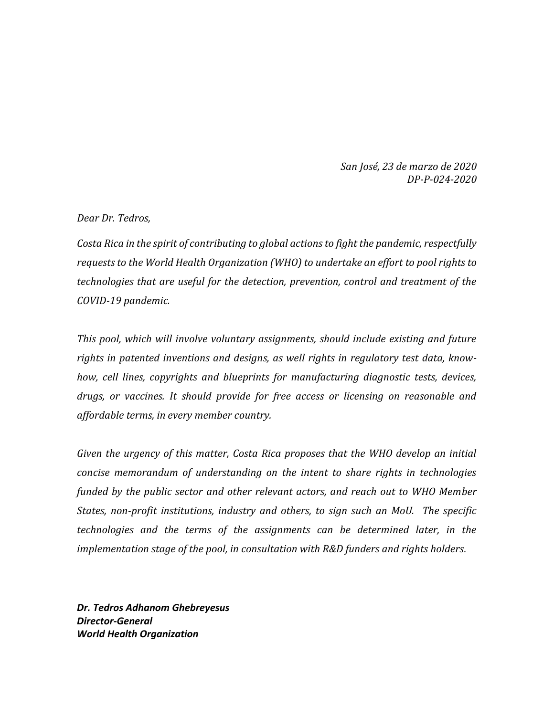*San José, 23 de marzo de 2020 DP-P-024-2020*

*Dear Dr. Tedros,*

*Costa Rica in the spirit of contributing to global actions to fight the pandemic, respectfully requests to the World Health Organization (WHO) to undertake an effort to pool rights to technologies that are useful for the detection, prevention, control and treatment of the COVID-19 pandemic.*

*This pool, which will involve voluntary assignments, should include existing and future rights in patented inventions and designs, as well rights in regulatory test data, knowhow, cell lines, copyrights and blueprints for manufacturing diagnostic tests, devices, drugs, or vaccines. It should provide for free access or licensing on reasonable and affordable terms, in every member country.*

*Given the urgency of this matter, Costa Rica proposes that the WHO develop an initial concise memorandum of understanding on the intent to share rights in technologies funded by the public sector and other relevant actors, and reach out to WHO Member States, non-profit institutions, industry and others, to sign such an MoU. The specific technologies and the terms of the assignments can be determined later, in the implementation stage of the pool, in consultation with R&D funders and rights holders.* 

*Dr. Tedros Adhanom Ghebreyesus Director-General World Health Organization*